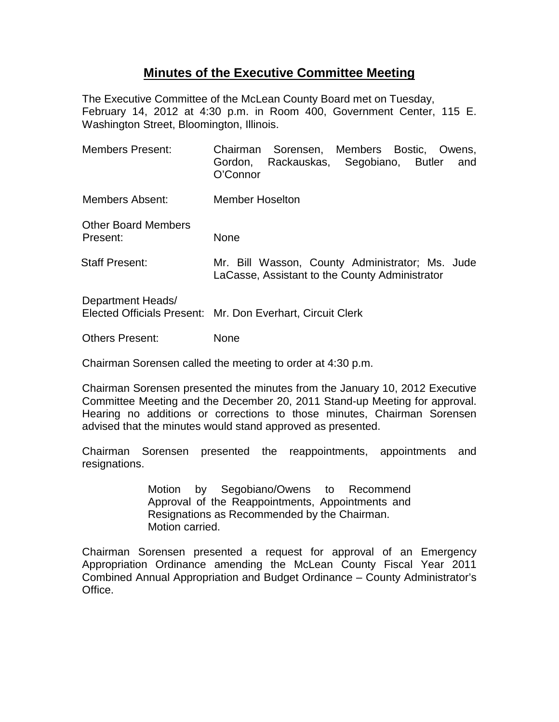## **Minutes of the Executive Committee Meeting**

The Executive Committee of the McLean County Board met on Tuesday, February 14, 2012 at 4:30 p.m. in Room 400, Government Center, 115 E. Washington Street, Bloomington, Illinois.

| <b>Members Present:</b>                | Sorensen, Members Bostic, Owens,<br>Chairman<br>Rackauskas, Segobiano, Butler<br>Gordon,<br>and<br>O'Connor |
|----------------------------------------|-------------------------------------------------------------------------------------------------------------|
| <b>Members Absent:</b>                 | <b>Member Hoselton</b>                                                                                      |
| <b>Other Board Members</b><br>Present: | None                                                                                                        |
| <b>Staff Present:</b>                  | Mr. Bill Wasson, County Administrator; Ms. Jude<br>LaCasse, Assistant to the County Administrator           |
| Department Heads/                      | Elected Officials Present: Mr. Don Everhart, Circuit Clerk                                                  |

Others Present: None

Chairman Sorensen called the meeting to order at 4:30 p.m.

Chairman Sorensen presented the minutes from the January 10, 2012 Executive Committee Meeting and the December 20, 2011 Stand-up Meeting for approval. Hearing no additions or corrections to those minutes, Chairman Sorensen advised that the minutes would stand approved as presented.

Chairman Sorensen presented the reappointments, appointments and resignations.

> Motion by Segobiano/Owens to Recommend Approval of the Reappointments, Appointments and Resignations as Recommended by the Chairman. Motion carried.

Chairman Sorensen presented a request for approval of an Emergency Appropriation Ordinance amending the McLean County Fiscal Year 2011 Combined Annual Appropriation and Budget Ordinance – County Administrator's Office.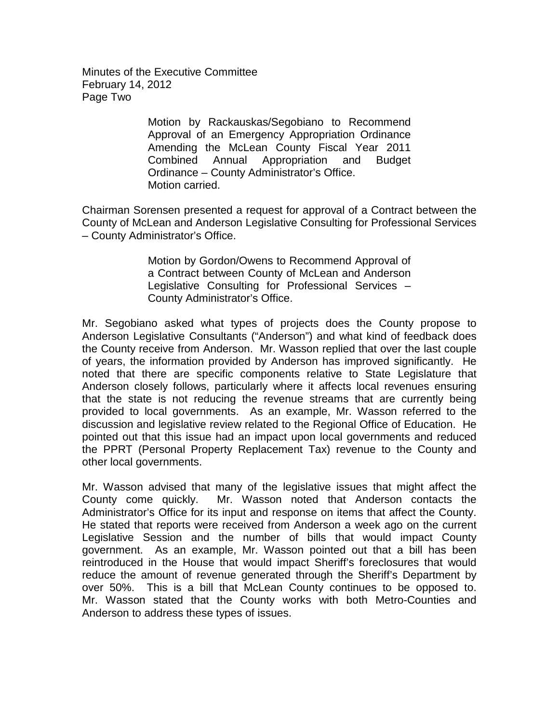Minutes of the Executive Committee February 14, 2012 Page Two

> Motion by Rackauskas/Segobiano to Recommend Approval of an Emergency Appropriation Ordinance Amending the McLean County Fiscal Year 2011 Combined Annual Appropriation and Budget Ordinance – County Administrator's Office. Motion carried.

Chairman Sorensen presented a request for approval of a Contract between the County of McLean and Anderson Legislative Consulting for Professional Services – County Administrator's Office.

> Motion by Gordon/Owens to Recommend Approval of a Contract between County of McLean and Anderson Legislative Consulting for Professional Services – County Administrator's Office.

Mr. Segobiano asked what types of projects does the County propose to Anderson Legislative Consultants ("Anderson") and what kind of feedback does the County receive from Anderson. Mr. Wasson replied that over the last couple of years, the information provided by Anderson has improved significantly. He noted that there are specific components relative to State Legislature that Anderson closely follows, particularly where it affects local revenues ensuring that the state is not reducing the revenue streams that are currently being provided to local governments. As an example, Mr. Wasson referred to the discussion and legislative review related to the Regional Office of Education. He pointed out that this issue had an impact upon local governments and reduced the PPRT (Personal Property Replacement Tax) revenue to the County and other local governments.

Mr. Wasson advised that many of the legislative issues that might affect the County come quickly. Mr. Wasson noted that Anderson contacts the Administrator's Office for its input and response on items that affect the County. He stated that reports were received from Anderson a week ago on the current Legislative Session and the number of bills that would impact County government. As an example, Mr. Wasson pointed out that a bill has been reintroduced in the House that would impact Sheriff's foreclosures that would reduce the amount of revenue generated through the Sheriff's Department by over 50%. This is a bill that McLean County continues to be opposed to. Mr. Wasson stated that the County works with both Metro-Counties and Anderson to address these types of issues.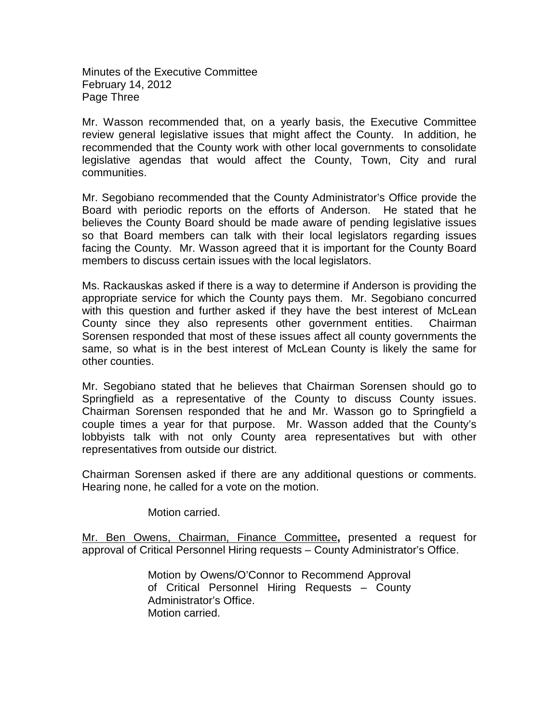Minutes of the Executive Committee February 14, 2012 Page Three

Mr. Wasson recommended that, on a yearly basis, the Executive Committee review general legislative issues that might affect the County. In addition, he recommended that the County work with other local governments to consolidate legislative agendas that would affect the County, Town, City and rural communities.

Mr. Segobiano recommended that the County Administrator's Office provide the Board with periodic reports on the efforts of Anderson. He stated that he believes the County Board should be made aware of pending legislative issues so that Board members can talk with their local legislators regarding issues facing the County. Mr. Wasson agreed that it is important for the County Board members to discuss certain issues with the local legislators.

Ms. Rackauskas asked if there is a way to determine if Anderson is providing the appropriate service for which the County pays them. Mr. Segobiano concurred with this question and further asked if they have the best interest of McLean County since they also represents other government entities. Chairman Sorensen responded that most of these issues affect all county governments the same, so what is in the best interest of McLean County is likely the same for other counties.

Mr. Segobiano stated that he believes that Chairman Sorensen should go to Springfield as a representative of the County to discuss County issues. Chairman Sorensen responded that he and Mr. Wasson go to Springfield a couple times a year for that purpose. Mr. Wasson added that the County's lobbyists talk with not only County area representatives but with other representatives from outside our district.

Chairman Sorensen asked if there are any additional questions or comments. Hearing none, he called for a vote on the motion.

Motion carried.

Mr. Ben Owens, Chairman, Finance Committee**,** presented a request for approval of Critical Personnel Hiring requests – County Administrator's Office.

> Motion by Owens/O'Connor to Recommend Approval of Critical Personnel Hiring Requests – County Administrator's Office. Motion carried.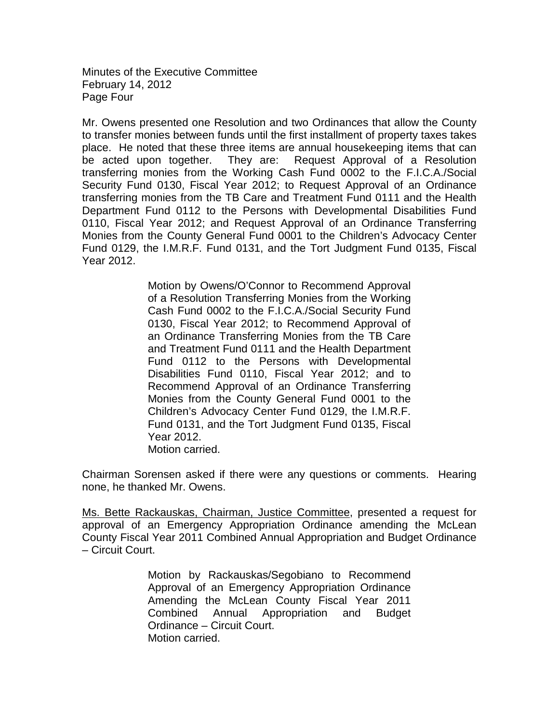Minutes of the Executive Committee February 14, 2012 Page Four

Mr. Owens presented one Resolution and two Ordinances that allow the County to transfer monies between funds until the first installment of property taxes takes place. He noted that these three items are annual housekeeping items that can be acted upon together. They are: Request Approval of a Resolution transferring monies from the Working Cash Fund 0002 to the F.I.C.A./Social Security Fund 0130, Fiscal Year 2012; to Request Approval of an Ordinance transferring monies from the TB Care and Treatment Fund 0111 and the Health Department Fund 0112 to the Persons with Developmental Disabilities Fund 0110, Fiscal Year 2012; and Request Approval of an Ordinance Transferring Monies from the County General Fund 0001 to the Children's Advocacy Center Fund 0129, the I.M.R.F. Fund 0131, and the Tort Judgment Fund 0135, Fiscal Year 2012.

> Motion by Owens/O'Connor to Recommend Approval of a Resolution Transferring Monies from the Working Cash Fund 0002 to the F.I.C.A./Social Security Fund 0130, Fiscal Year 2012; to Recommend Approval of an Ordinance Transferring Monies from the TB Care and Treatment Fund 0111 and the Health Department Fund 0112 to the Persons with Developmental Disabilities Fund 0110, Fiscal Year 2012; and to Recommend Approval of an Ordinance Transferring Monies from the County General Fund 0001 to the Children's Advocacy Center Fund 0129, the I.M.R.F. Fund 0131, and the Tort Judgment Fund 0135, Fiscal Year 2012. Motion carried.

Chairman Sorensen asked if there were any questions or comments. Hearing none, he thanked Mr. Owens.

Ms. Bette Rackauskas, Chairman, Justice Committee, presented a request for approval of an Emergency Appropriation Ordinance amending the McLean County Fiscal Year 2011 Combined Annual Appropriation and Budget Ordinance – Circuit Court.

> Motion by Rackauskas/Segobiano to Recommend Approval of an Emergency Appropriation Ordinance Amending the McLean County Fiscal Year 2011 Combined Annual Appropriation and Budget Ordinance – Circuit Court. Motion carried.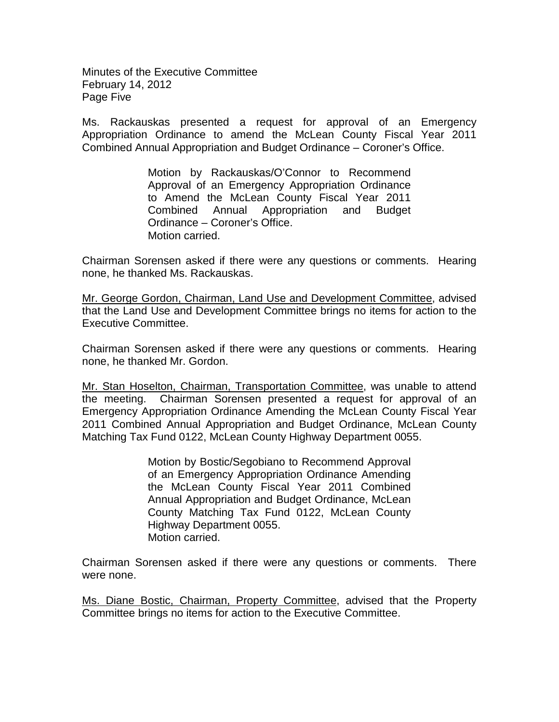Minutes of the Executive Committee February 14, 2012 Page Five

Ms. Rackauskas presented a request for approval of an Emergency Appropriation Ordinance to amend the McLean County Fiscal Year 2011 Combined Annual Appropriation and Budget Ordinance – Coroner's Office.

> Motion by Rackauskas/O'Connor to Recommend Approval of an Emergency Appropriation Ordinance to Amend the McLean County Fiscal Year 2011 Combined Annual Appropriation and Budget Ordinance – Coroner's Office. Motion carried.

Chairman Sorensen asked if there were any questions or comments. Hearing none, he thanked Ms. Rackauskas.

Mr. George Gordon, Chairman, Land Use and Development Committee, advised that the Land Use and Development Committee brings no items for action to the Executive Committee.

Chairman Sorensen asked if there were any questions or comments. Hearing none, he thanked Mr. Gordon.

Mr. Stan Hoselton, Chairman, Transportation Committee, was unable to attend the meeting. Chairman Sorensen presented a request for approval of an Emergency Appropriation Ordinance Amending the McLean County Fiscal Year 2011 Combined Annual Appropriation and Budget Ordinance, McLean County Matching Tax Fund 0122, McLean County Highway Department 0055.

> Motion by Bostic/Segobiano to Recommend Approval of an Emergency Appropriation Ordinance Amending the McLean County Fiscal Year 2011 Combined Annual Appropriation and Budget Ordinance, McLean County Matching Tax Fund 0122, McLean County Highway Department 0055. Motion carried.

Chairman Sorensen asked if there were any questions or comments. There were none.

Ms. Diane Bostic, Chairman, Property Committee, advised that the Property Committee brings no items for action to the Executive Committee.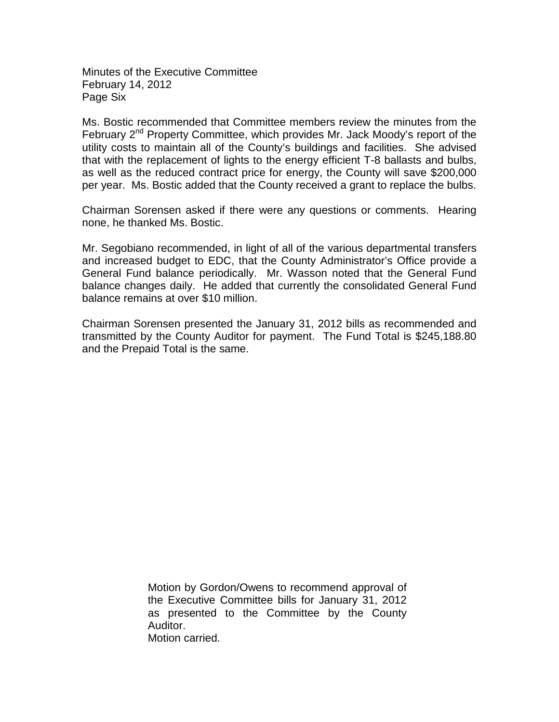Minutes of the Executive Committee February 14, 2012 Page Six

Ms. Bostic recommended that Committee members review the minutes from the February 2<sup>nd</sup> Property Committee, which provides Mr. Jack Moody's report of the utility costs to maintain all of the County's buildings and facilities. She advised that with the replacement of lights to the energy efficient T-8 ballasts and bulbs, as well as the reduced contract price for energy, the County will save \$200,000 per year. Ms. Bostic added that the County received a grant to replace the bulbs.

Chairman Sorensen asked if there were any questions or comments. Hearing none, he thanked Ms. Bostic.

Mr. Segobiano recommended, in light of all of the various departmental transfers and increased budget to EDC, that the County Administrator's Office provide a General Fund balance periodically. Mr. Wasson noted that the General Fund balance changes daily. He added that currently the consolidated General Fund balance remains at over \$10 million.

Chairman Sorensen presented the January 31, 2012 bills as recommended and transmitted by the County Auditor for payment. The Fund Total is \$245,188.80 and the Prepaid Total is the same.

> Motion by Gordon/Owens to recommend approval of the Executive Committee bills for January 31, 2012 as presented to the Committee by the County Auditor. Motion carried.